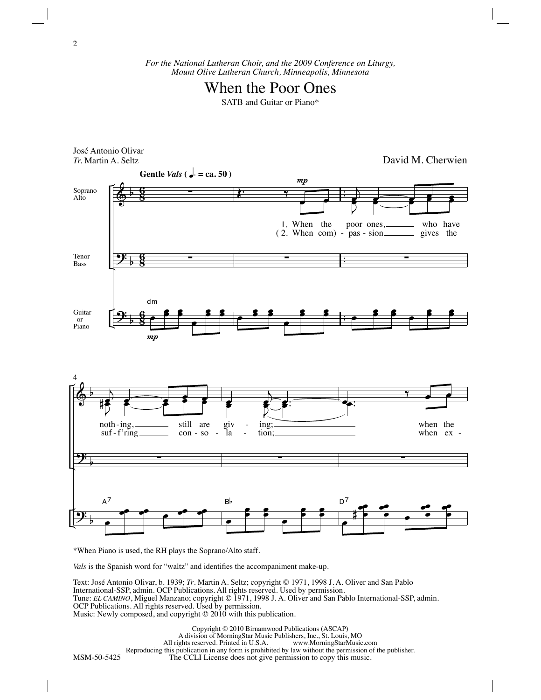*For the National Lutheran Choir, and the 2009 Conference on Liturgy, Mount Olive Lutheran Church, Minneapolis, Minnesota*

## When the Poor Ones

SATB and Guitar or Piano\*



\*When Piano is used, the RH plays the Soprano/Alto staff.

*Vals* is the Spanish word for "waltz" and identifies the accompaniment make-up.

Text: José Antonio Olivar, b. 1939; *Tr*. Martin A. Seltz; copyright © 1971, 1998 J. A. Oliver and San Pablo International-SSP, admin. OCP Publications. All rights reserved. Used by permission. Tune: *EL CAMINO*, Miguel Manzano; copyright © 1971, 1998 J. A. Oliver and San Pablo International-SSP, admin. OCP Publications. All rights reserved. Used by permission. Music: Newly composed, and copyright © 2010 with this publication.

MSM-50-5425 Copyright © 2010 Birnamwood Publications (ASCAP) A division of MorningStar Music Publishers, Inc., St. Louis, MO All rights reserved. Printed in U.S.A. Reproducing this publication in any form is prohibited by law without the permission of the publisher. The CCLI License does not give permission to copy this music.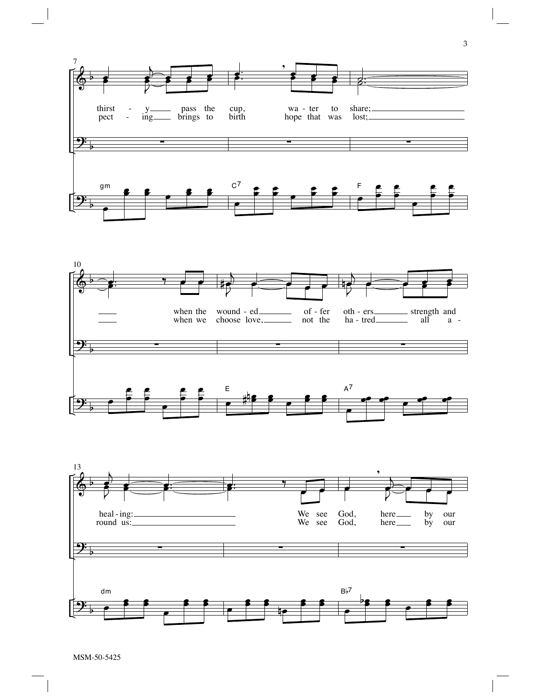



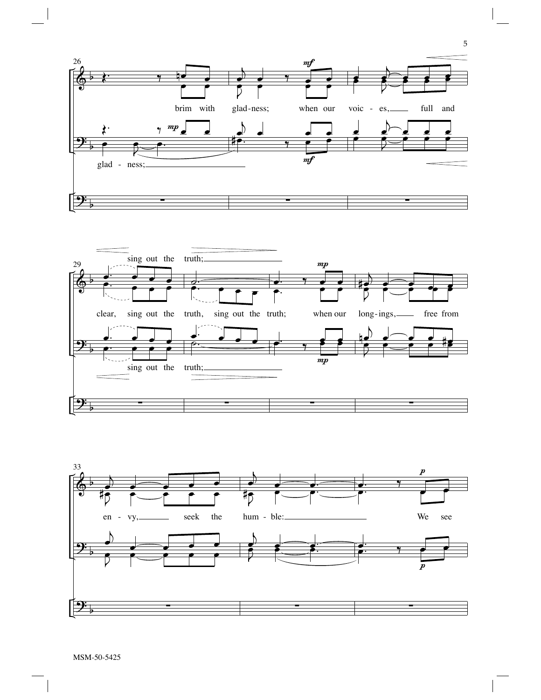